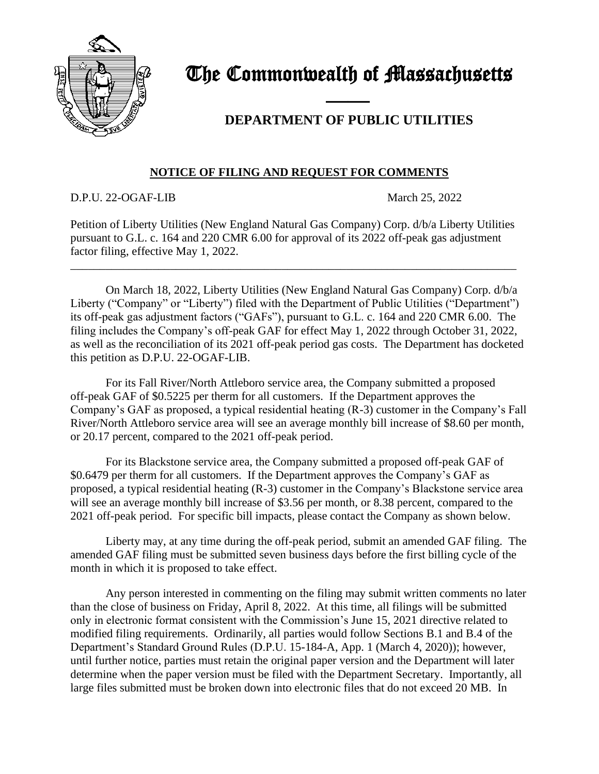

## The Commonwealth of Massachusetts

## **DEPARTMENT OF PUBLIC UTILITIES**

## **NOTICE OF FILING AND REQUEST FOR COMMENTS**

and the contract of the contract of

D.P.U. 22-OGAF-LIB March 25, 2022

Petition of Liberty Utilities (New England Natural Gas Company) Corp. d/b/a Liberty Utilities pursuant to G.L. c. 164 and 220 CMR 6.00 for approval of its 2022 off-peak gas adjustment factor filing, effective May 1, 2022.

\_\_\_\_\_\_\_\_\_\_\_\_\_\_\_\_\_\_\_\_\_\_\_\_\_\_\_\_\_\_\_\_\_\_\_\_\_\_\_\_\_\_\_\_\_\_\_\_\_\_\_\_\_\_\_\_\_\_\_\_\_\_\_\_\_\_\_\_\_\_\_\_\_\_\_\_

On March 18, 2022, Liberty Utilities (New England Natural Gas Company) Corp. d/b/a Liberty ("Company" or "Liberty") filed with the Department of Public Utilities ("Department") its off-peak gas adjustment factors ("GAFs"), pursuant to G.L. c. 164 and 220 CMR 6.00. The filing includes the Company's off-peak GAF for effect May 1, 2022 through October 31, 2022, as well as the reconciliation of its 2021 off-peak period gas costs. The Department has docketed this petition as D.P.U. 22-OGAF-LIB.

For its Fall River/North Attleboro service area, the Company submitted a proposed off-peak GAF of \$0.5225 per therm for all customers. If the Department approves the Company's GAF as proposed, a typical residential heating (R-3) customer in the Company's Fall River/North Attleboro service area will see an average monthly bill increase of \$8.60 per month, or 20.17 percent, compared to the 2021 off-peak period.

For its Blackstone service area, the Company submitted a proposed off-peak GAF of \$0.6479 per therm for all customers. If the Department approves the Company's GAF as proposed, a typical residential heating (R-3) customer in the Company's Blackstone service area will see an average monthly bill increase of \$3.56 per month, or 8.38 percent, compared to the 2021 off-peak period. For specific bill impacts, please contact the Company as shown below.

Liberty may, at any time during the off-peak period, submit an amended GAF filing. The amended GAF filing must be submitted seven business days before the first billing cycle of the month in which it is proposed to take effect.

Any person interested in commenting on the filing may submit written comments no later than the close of business on Friday, April 8, 2022. At this time, all filings will be submitted only in electronic format consistent with the Commission's June 15, 2021 directive related to modified filing requirements. Ordinarily, all parties would follow Sections B.1 and B.4 of the Department's Standard Ground Rules (D.P.U. 15-184-A, App. 1 (March 4, 2020)); however, until further notice, parties must retain the original paper version and the Department will later determine when the paper version must be filed with the Department Secretary. Importantly, all large files submitted must be broken down into electronic files that do not exceed 20 MB. In